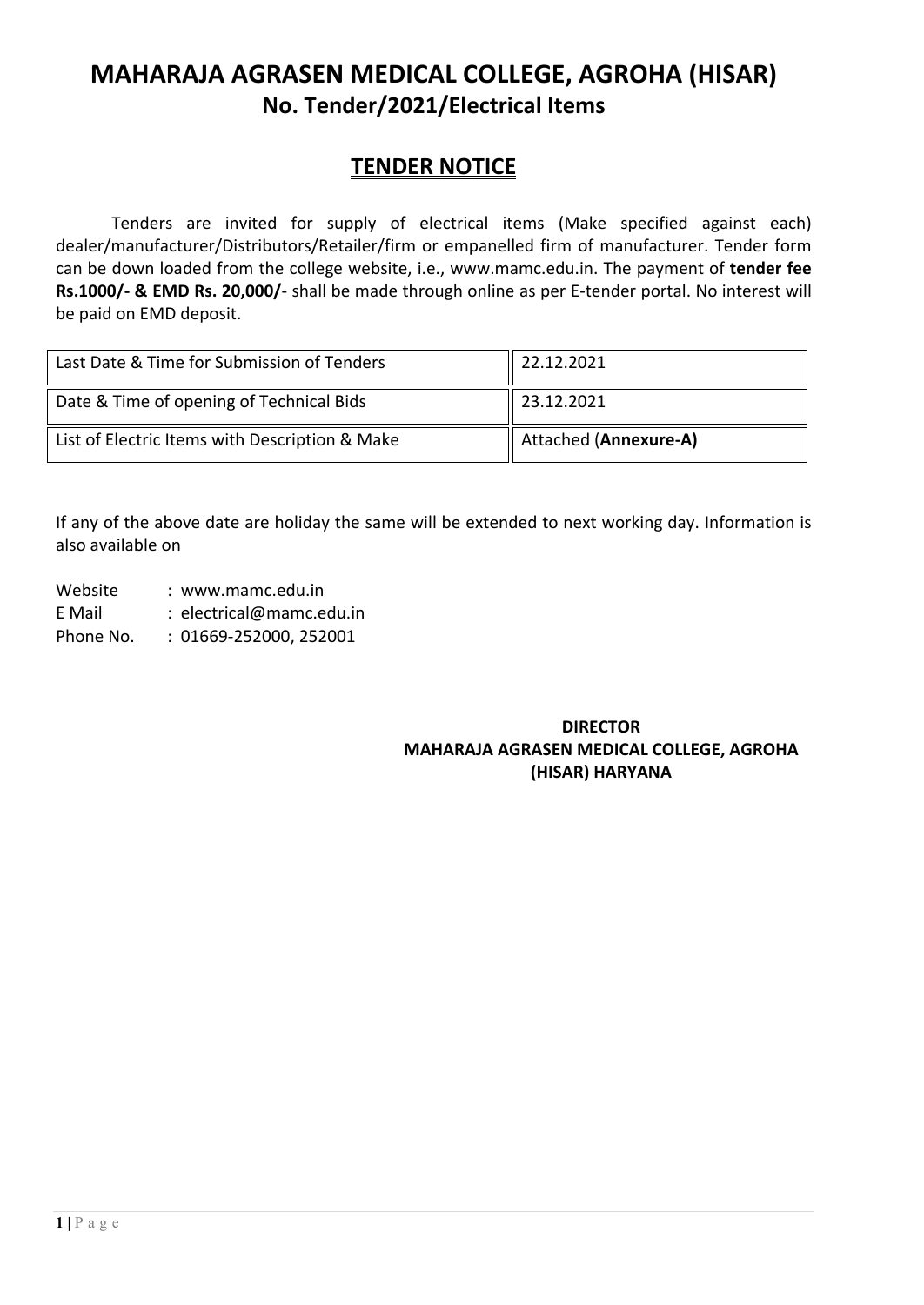# **MAHARAJA AGRASEN MEDICAL COLLEGE, AGROHA (HISAR) No. Tender/2021/Electrical Items**

# **TENDER NOTICE**

Tenders are invited for supply of electrical items (Make specified against each) dealer/manufacturer/Distributors/Retailer/firm or empanelled firm of manufacturer. Tender form can be down loaded from the college website, i.e., [www.mamc.edu.in.](http://www.mamc.edu.in/) The payment of **tender fee Rs.1000/- & EMD Rs. 20,000/**- shall be made through online as per E-tender portal. No interest will be paid on EMD deposit.

| Last Date & Time for Submission of Tenders     | 22.12.2021                   |
|------------------------------------------------|------------------------------|
| Date & Time of opening of Technical Bids       | 23.12.2021                   |
| List of Electric Items with Description & Make | <b>Attached (Annexure-A)</b> |

If any of the above date are holiday the same will be extended to next working day. Information is also available on

Website : www.mamc.edu.in E Mail : electrical@mamc.edu.in

Phone No. : 01669-252000, 252001

### **DIRECTOR MAHARAJA AGRASEN MEDICAL COLLEGE, AGROHA (HISAR) HARYANA**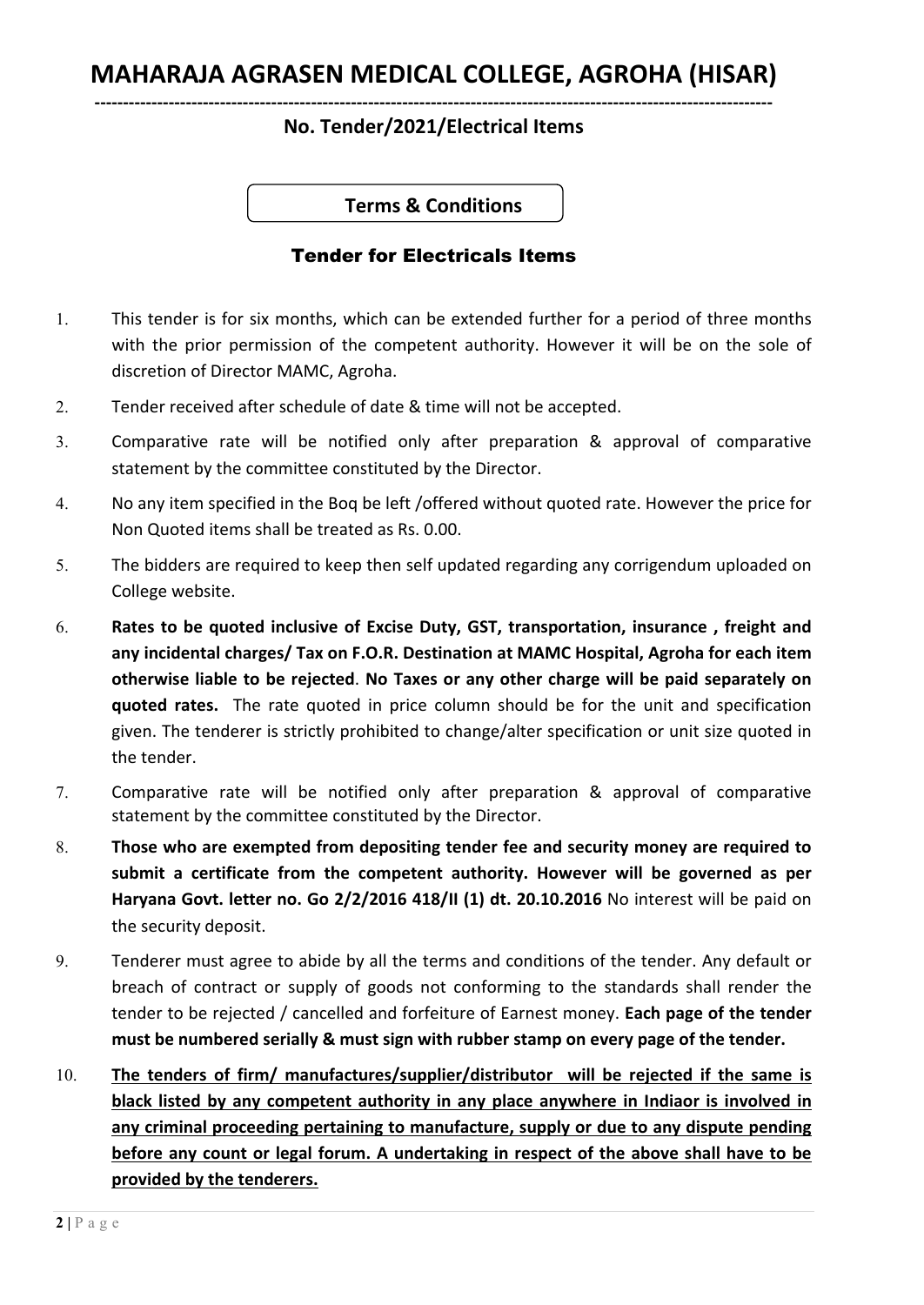# **MAHARAJA AGRASEN MEDICAL COLLEGE, AGROHA (HISAR)**

## **No. Tender/2021/Electrical Items**

**Terms & Conditions** 

### Tender for Electricals Items

- 1. This tender is for six months, which can be extended further for a period of three months with the prior permission of the competent authority. However it will be on the sole of discretion of Director MAMC, Agroha.
- 2. Tender received after schedule of date & time will not be accepted.
- 3. Comparative rate will be notified only after preparation & approval of comparative statement by the committee constituted by the Director.
- 4. No any item specified in the Boq be left /offered without quoted rate. However the price for Non Quoted items shall be treated as Rs. 0.00.
- 5. The bidders are required to keep then self updated regarding any corrigendum uploaded on College website.
- 6. **Rates to be quoted inclusive of Excise Duty, GST, transportation, insurance , freight and any incidental charges/ Tax on F.O.R. Destination at MAMC Hospital, Agroha for each item otherwise liable to be rejected**. **No Taxes or any other charge will be paid separately on quoted rates.** The rate quoted in price column should be for the unit and specification given. The tenderer is strictly prohibited to change/alter specification or unit size quoted in the tender.
- 7. Comparative rate will be notified only after preparation & approval of comparative statement by the committee constituted by the Director.
- 8. **Those who are exempted from depositing tender fee and security money are required to submit a certificate from the competent authority. However will be governed as per Haryana Govt. letter no. Go 2/2/2016 418/II (1) dt. 20.10.2016** No interest will be paid on the security deposit.
- 9. Tenderer must agree to abide by all the terms and conditions of the tender. Any default or breach of contract or supply of goods not conforming to the standards shall render the tender to be rejected / cancelled and forfeiture of Earnest money. **Each page of the tender must be numbered serially & must sign with rubber stamp on every page of the tender.**
- 10. **The tenders of firm/ manufactures/supplier/distributor will be rejected if the same is black listed by any competent authority in any place anywhere in Indiaor is involved in any criminal proceeding pertaining to manufacture, supply or due to any dispute pending before any count or legal forum. A undertaking in respect of the above shall have to be provided by the tenderers.**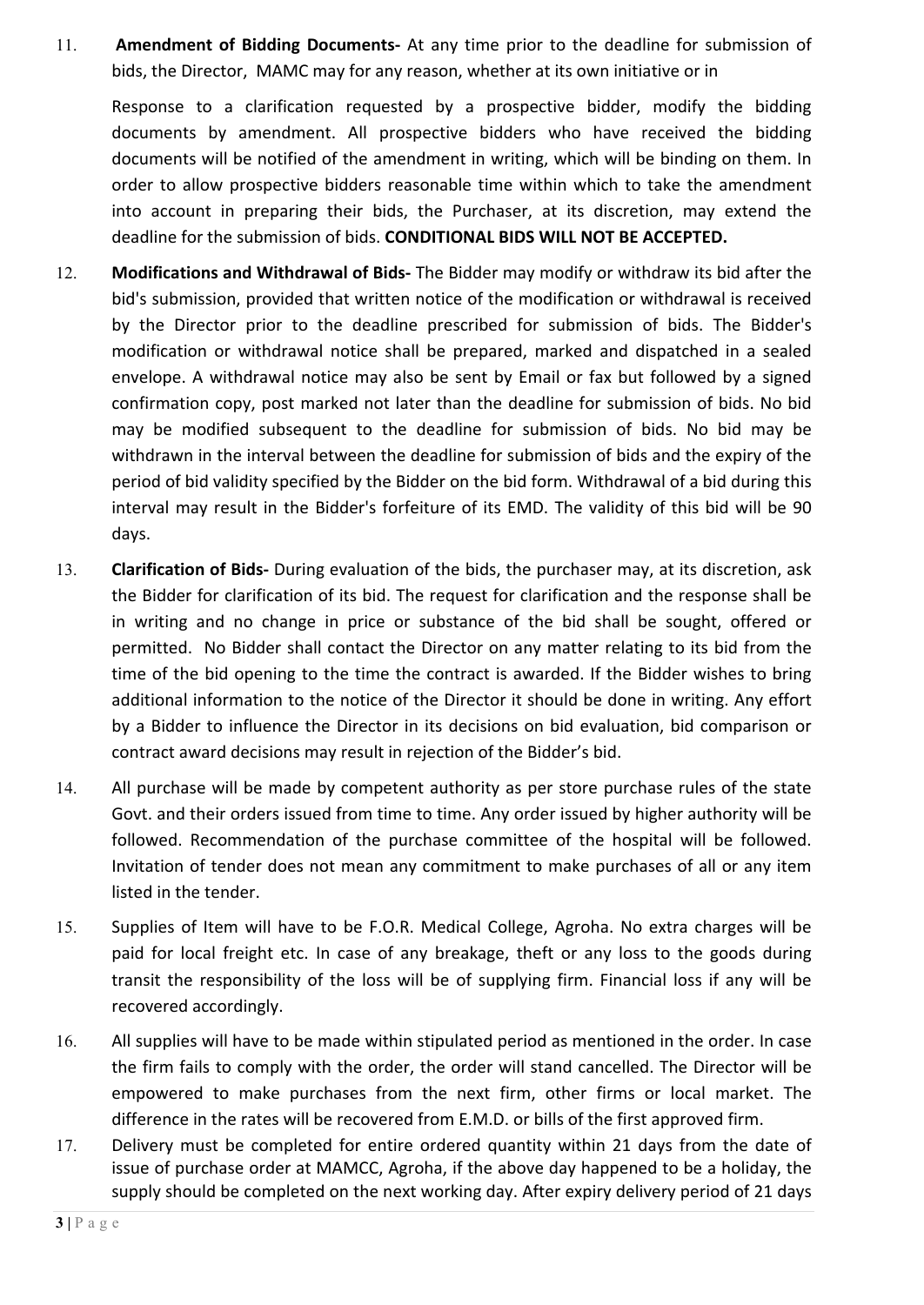11. **Amendment of Bidding Documents-** At any time prior to the deadline for submission of bids, the Director, MAMC may for any reason, whether at its own initiative or in

Response to a clarification requested by a prospective bidder, modify the bidding documents by amendment. All prospective bidders who have received the bidding documents will be notified of the amendment in writing, which will be binding on them. In order to allow prospective bidders reasonable time within which to take the amendment into account in preparing their bids, the Purchaser, at its discretion, may extend the deadline for the submission of bids. **CONDITIONAL BIDS WILL NOT BE ACCEPTED.**

- 12. **Modifications and Withdrawal of Bids-** The Bidder may modify or withdraw its bid after the bid's submission, provided that written notice of the modification or withdrawal is received by the Director prior to the deadline prescribed for submission of bids. The Bidder's modification or withdrawal notice shall be prepared, marked and dispatched in a sealed envelope. A withdrawal notice may also be sent by Email or fax but followed by a signed confirmation copy, post marked not later than the deadline for submission of bids. No bid may be modified subsequent to the deadline for submission of bids. No bid may be withdrawn in the interval between the deadline for submission of bids and the expiry of the period of bid validity specified by the Bidder on the bid form. Withdrawal of a bid during this interval may result in the Bidder's forfeiture of its EMD. The validity of this bid will be 90 days.
- 13. **Clarification of Bids-** During evaluation of the bids, the purchaser may, at its discretion, ask the Bidder for clarification of its bid. The request for clarification and the response shall be in writing and no change in price or substance of the bid shall be sought, offered or permitted. No Bidder shall contact the Director on any matter relating to its bid from the time of the bid opening to the time the contract is awarded. If the Bidder wishes to bring additional information to the notice of the Director it should be done in writing. Any effort by a Bidder to influence the Director in its decisions on bid evaluation, bid comparison or contract award decisions may result in rejection of the Bidder's bid.
- 14. All purchase will be made by competent authority as per store purchase rules of the state Govt. and their orders issued from time to time. Any order issued by higher authority will be followed. Recommendation of the purchase committee of the hospital will be followed. Invitation of tender does not mean any commitment to make purchases of all or any item listed in the tender.
- 15. Supplies of Item will have to be F.O.R. Medical College, Agroha. No extra charges will be paid for local freight etc. In case of any breakage, theft or any loss to the goods during transit the responsibility of the loss will be of supplying firm. Financial loss if any will be recovered accordingly.
- 16. All supplies will have to be made within stipulated period as mentioned in the order. In case the firm fails to comply with the order, the order will stand cancelled. The Director will be empowered to make purchases from the next firm, other firms or local market. The difference in the rates will be recovered from E.M.D. or bills of the first approved firm.
- 17. Delivery must be completed for entire ordered quantity within 21 days from the date of issue of purchase order at MAMCC, Agroha, if the above day happened to be a holiday, the supply should be completed on the next working day. After expiry delivery period of 21 days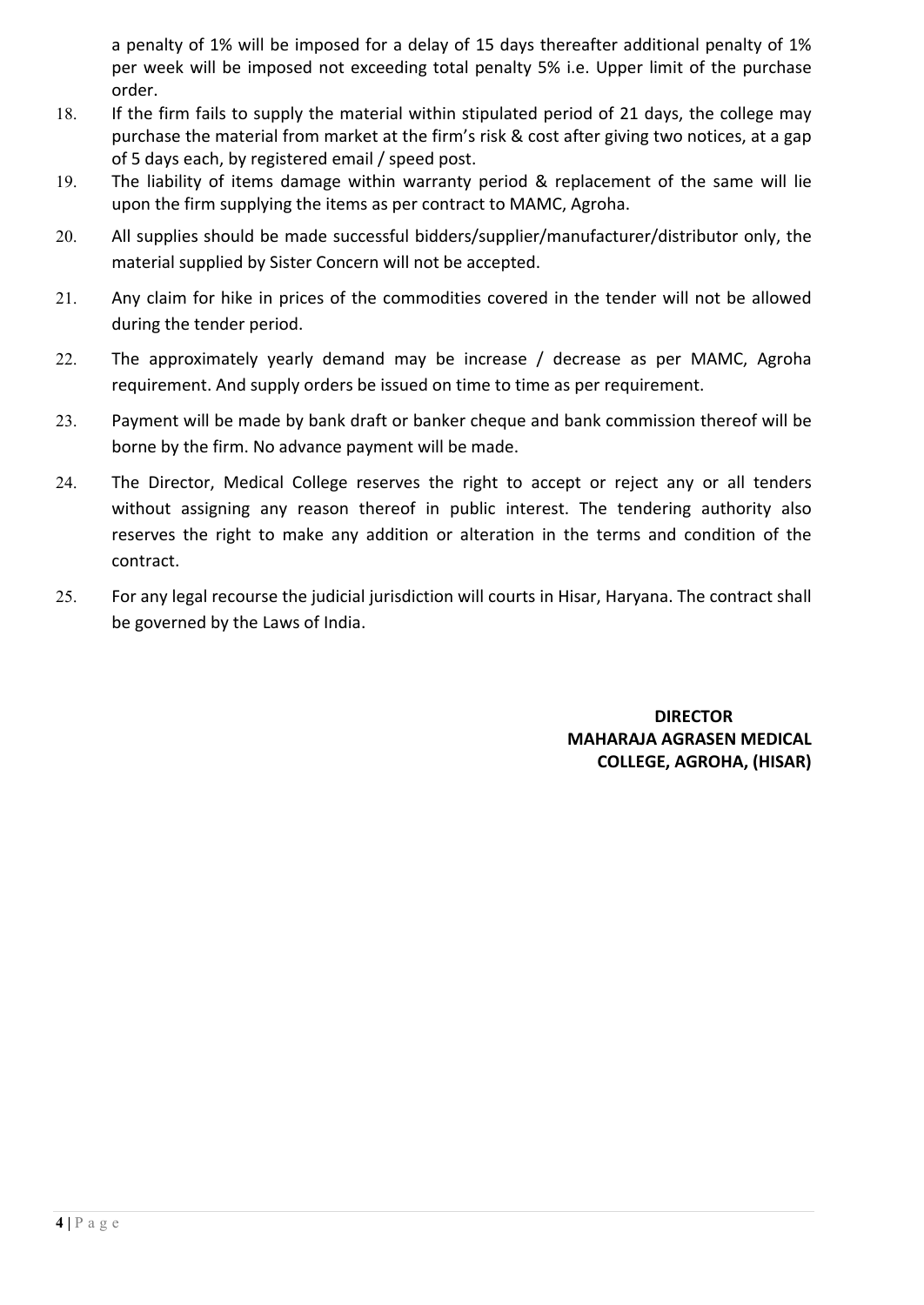a penalty of 1% will be imposed for a delay of 15 days thereafter additional penalty of 1% per week will be imposed not exceeding total penalty 5% i.e. Upper limit of the purchase order.

- 18. If the firm fails to supply the material within stipulated period of 21 days, the college may purchase the material from market at the firm's risk & cost after giving two notices, at a gap of 5 days each, by registered email / speed post.
- 19. The liability of items damage within warranty period & replacement of the same will lie upon the firm supplying the items as per contract to MAMC, Agroha.
- 20. All supplies should be made successful bidders/supplier/manufacturer/distributor only, the material supplied by Sister Concern will not be accepted.
- 21. Any claim for hike in prices of the commodities covered in the tender will not be allowed during the tender period.
- 22. The approximately yearly demand may be increase / decrease as per MAMC, Agroha requirement. And supply orders be issued on time to time as per requirement.
- 23. Payment will be made by bank draft or banker cheque and bank commission thereof will be borne by the firm. No advance payment will be made.
- 24. The Director, Medical College reserves the right to accept or reject any or all tenders without assigning any reason thereof in public interest. The tendering authority also reserves the right to make any addition or alteration in the terms and condition of the contract.
- 25. For any legal recourse the judicial jurisdiction will courts in Hisar, Haryana. The contract shall be governed by the Laws of India.

 **DIRECTOR MAHARAJA AGRASEN MEDICAL COLLEGE, AGROHA, (HISAR)**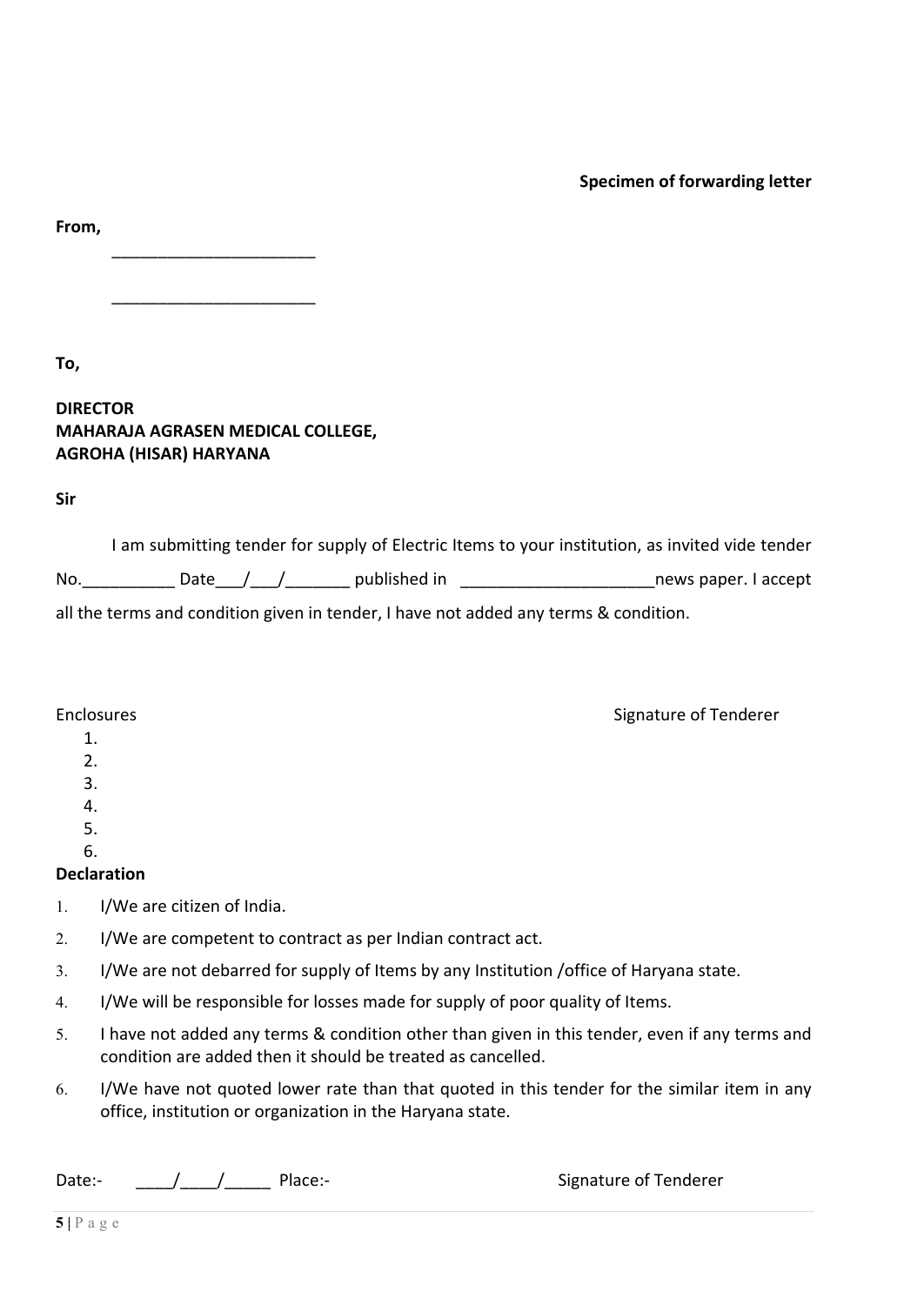### **Specimen of forwarding letter**

Signature of Tenderer

**From,**

**To,** 

**DIRECTOR MAHARAJA AGRASEN MEDICAL COLLEGE, AGROHA (HISAR) HARYANA**

\_\_\_\_\_\_\_\_\_\_\_\_\_\_\_\_\_\_\_\_\_\_

\_\_\_\_\_\_\_\_\_\_\_\_\_\_\_\_\_\_\_\_\_\_

**Sir**

|     | I am submitting tender for supply of Electric Items to your institution, as invited vide tender |                      |
|-----|-------------------------------------------------------------------------------------------------|----------------------|
| No. | published in<br>Date / /                                                                        | news paper. I accept |
|     | all the terms and condition given in tender, I have not added any terms & condition.            |                      |

| Enclosures |
|------------|
|------------|

- 1.
- 2.
- 3.
- 4.
- 5. 6.

- **Declaration**
- 1. I/We are citizen of India.
- 2. I/We are competent to contract as per Indian contract act.
- 3. I/We are not debarred for supply of Items by any Institution /office of Haryana state.
- 4. I/We will be responsible for losses made for supply of poor quality of Items.
- 5. I have not added any terms & condition other than given in this tender, even if any terms and condition are added then it should be treated as cancelled.
- 6. I/We have not quoted lower rate than that quoted in this tender for the similar item in any office, institution or organization in the Haryana state.

Date:  $\begin{array}{ccc} \begin{array}{ccc} \end{array} & \begin{array}{ccc} \end{array} & \end{array}$  Place:- Signature of Tenderer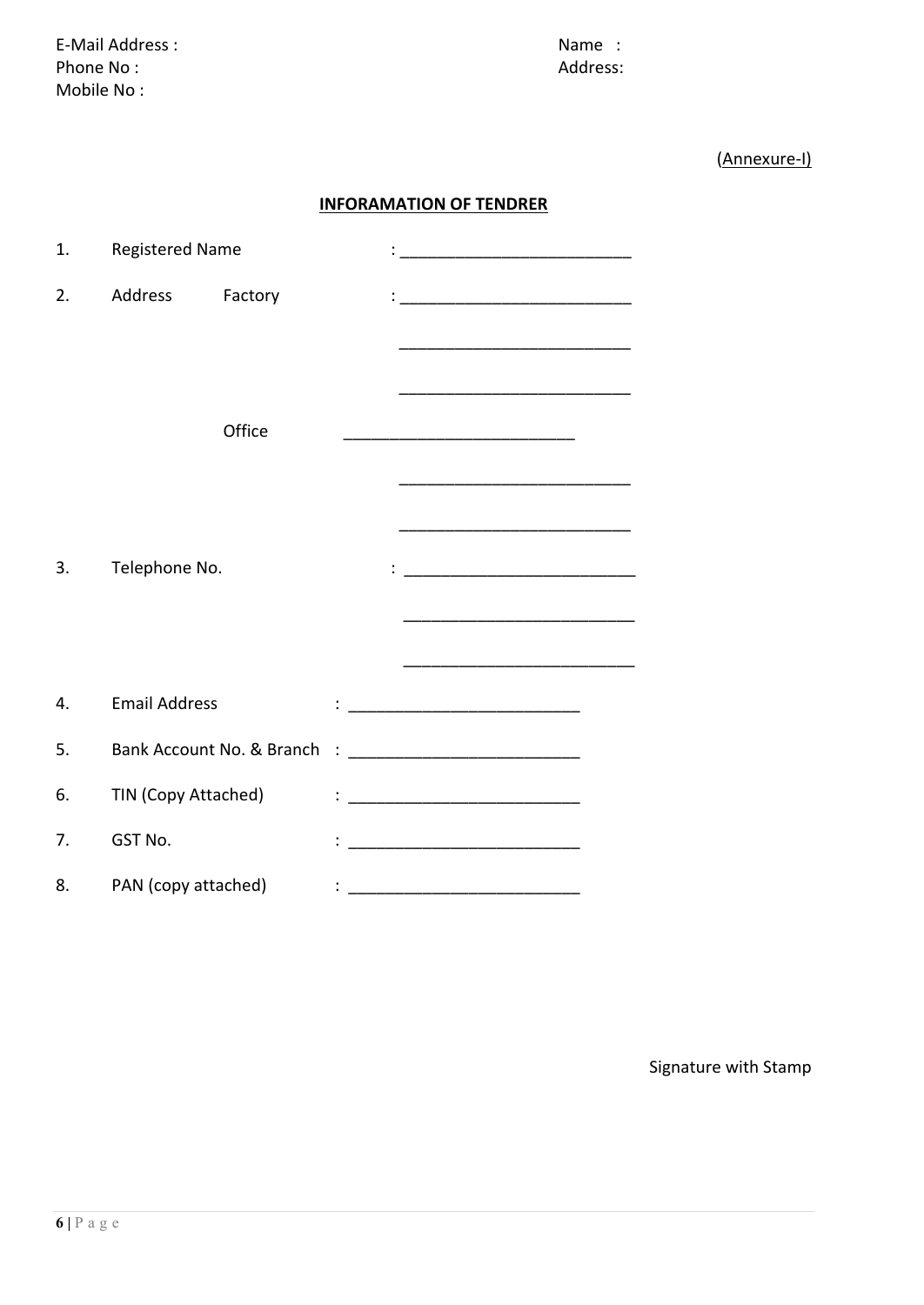E-Mail Address : Name : Name : Name : Name : Name : Name : Name : Name : Name : Name :  $\mathsf{N}$ Phone No : Address: Mobile No :

(Annexure-I)

### **INFORAMATION OF TENDRER**

| 1. | <b>Registered Name</b> |                           |  | <u> 1980 - Jan James James Barnett, martin de la populación de la propia de la propia de la propia de la propia d</u> |  |
|----|------------------------|---------------------------|--|-----------------------------------------------------------------------------------------------------------------------|--|
| 2. | Address                | Factory                   |  |                                                                                                                       |  |
|    |                        |                           |  |                                                                                                                       |  |
|    |                        |                           |  |                                                                                                                       |  |
|    |                        |                           |  |                                                                                                                       |  |
|    |                        | Office                    |  | <u> 1989 - Johann Barn, mars an t-Amerikaansk politiker (</u>                                                         |  |
|    |                        |                           |  |                                                                                                                       |  |
|    |                        |                           |  |                                                                                                                       |  |
| 3. | Telephone No.          |                           |  |                                                                                                                       |  |
|    |                        |                           |  |                                                                                                                       |  |
|    |                        |                           |  |                                                                                                                       |  |
|    |                        |                           |  |                                                                                                                       |  |
| 4. | <b>Email Address</b>   |                           |  |                                                                                                                       |  |
| 5. |                        | Bank Account No. & Branch |  |                                                                                                                       |  |
| 6. | TIN (Copy Attached)    |                           |  |                                                                                                                       |  |
| 7. | GST No.                |                           |  |                                                                                                                       |  |
| 8. | PAN (copy attached)    |                           |  |                                                                                                                       |  |

Signature with Stamp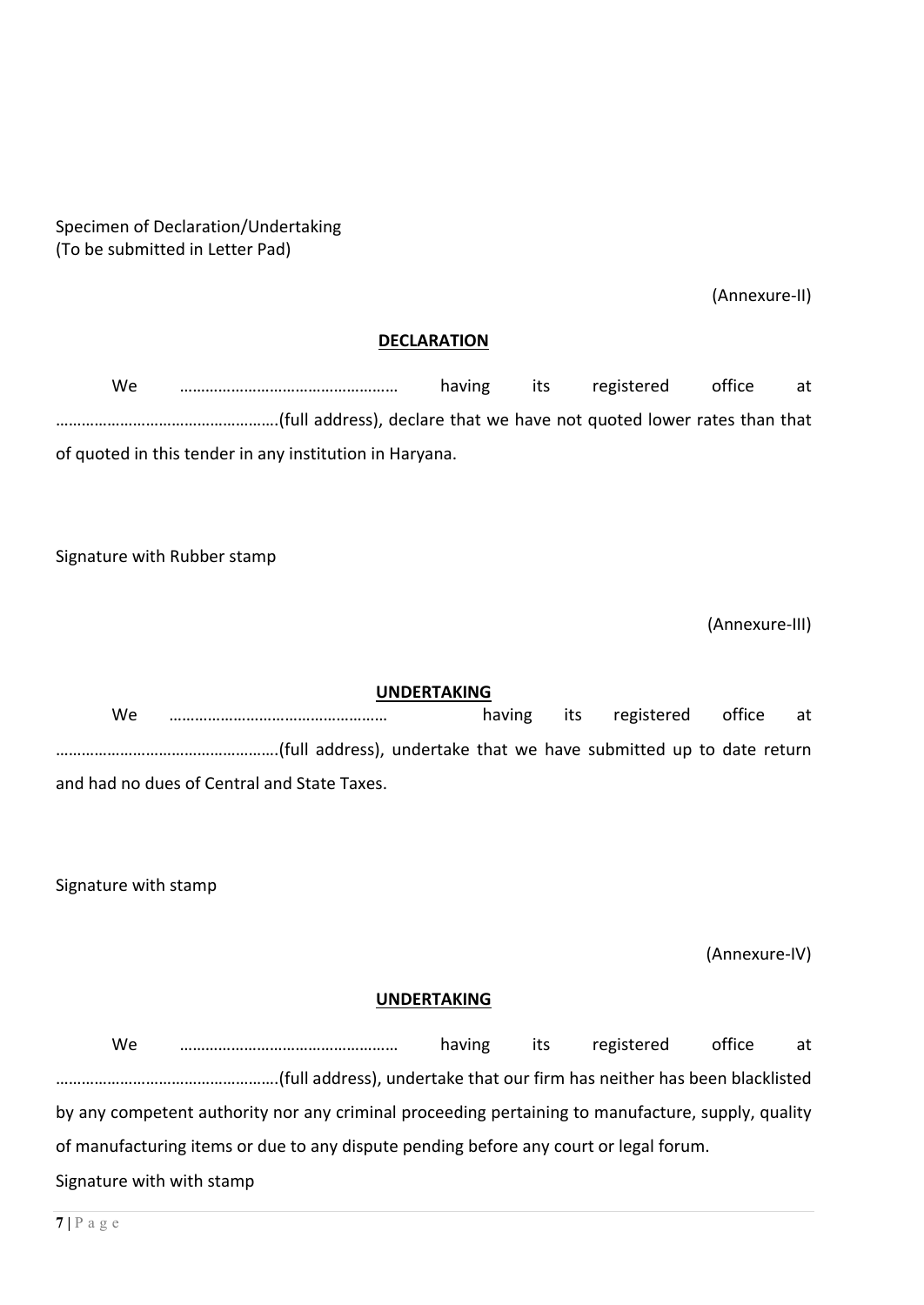### Specimen of Declaration/Undertaking (To be submitted in Letter Pad)

(Annexure-II)

### **DECLARATION**

| We. |                                                                                                                                            | having | its | registered | office | at |
|-----|--------------------------------------------------------------------------------------------------------------------------------------------|--------|-----|------------|--------|----|
|     | full address), declare that we have not quoted lower rates than that (full address), declare that we have not quoted lower rates than that |        |     |            |        |    |
|     | of quoted in this tender in any institution in Haryana.                                                                                    |        |     |            |        |    |

Signature with Rubber stamp

(Annexure-III)

**UNDERTAKING** We …………………………………………… having its registered office at …………………………………………….(full address), undertake that we have submitted up to date return and had no dues of Central and State Taxes.

Signature with stamp

(Annexure-IV)

### **UNDERTAKING**

We …………………………………………… having its registered office at …………………………………………….(full address), undertake that our firm has neither has been blacklisted by any competent authority nor any criminal proceeding pertaining to manufacture, supply, quality of manufacturing items or due to any dispute pending before any court or legal forum. Signature with with stamp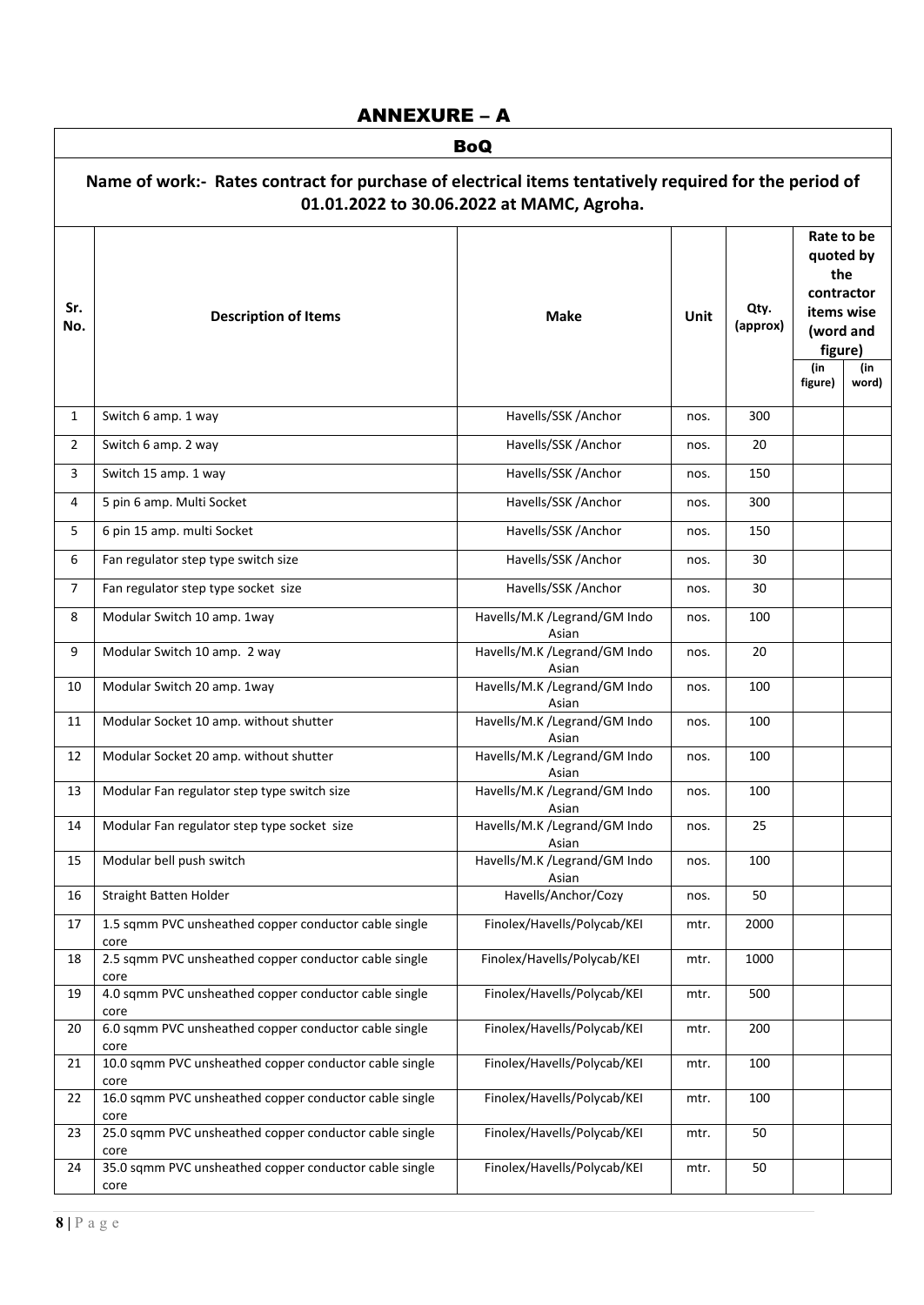## ANNEXURE – A

|                | <b>BoQ</b>                                                                                                                                         |                                       |             |                  |                                                                                    |              |  |  |  |
|----------------|----------------------------------------------------------------------------------------------------------------------------------------------------|---------------------------------------|-------------|------------------|------------------------------------------------------------------------------------|--------------|--|--|--|
|                | Name of work:- Rates contract for purchase of electrical items tentatively required for the period of<br>01.01.2022 to 30.06.2022 at MAMC, Agroha. |                                       |             |                  |                                                                                    |              |  |  |  |
| Sr.<br>No.     | <b>Description of Items</b>                                                                                                                        | <b>Make</b>                           | <b>Unit</b> | Qty.<br>(approx) | Rate to be<br>quoted by<br>the<br>contractor<br>items wise<br>(word and<br>figure) |              |  |  |  |
|                |                                                                                                                                                    |                                       |             |                  | (in<br>figure)                                                                     | (in<br>word) |  |  |  |
| 1              | Switch 6 amp. 1 way                                                                                                                                | Havells/SSK /Anchor                   | nos.        | 300              |                                                                                    |              |  |  |  |
| 2              | Switch 6 amp. 2 way                                                                                                                                | Havells/SSK /Anchor                   | nos.        | 20               |                                                                                    |              |  |  |  |
| 3              | Switch 15 amp. 1 way                                                                                                                               | Havells/SSK /Anchor                   | nos.        | 150              |                                                                                    |              |  |  |  |
| 4              | 5 pin 6 amp. Multi Socket                                                                                                                          | Havells/SSK /Anchor                   | nos.        | 300              |                                                                                    |              |  |  |  |
| 5              | 6 pin 15 amp. multi Socket                                                                                                                         | Havells/SSK /Anchor                   | nos.        | 150              |                                                                                    |              |  |  |  |
| 6              | Fan regulator step type switch size                                                                                                                | Havells/SSK /Anchor                   | nos.        | 30               |                                                                                    |              |  |  |  |
| $\overline{7}$ | Fan regulator step type socket size                                                                                                                | Havells/SSK /Anchor                   | nos.        | 30               |                                                                                    |              |  |  |  |
| 8              | Modular Switch 10 amp. 1way                                                                                                                        | Havells/M.K /Legrand/GM Indo<br>Asian | nos.        | 100              |                                                                                    |              |  |  |  |
| 9              | Modular Switch 10 amp. 2 way                                                                                                                       | Havells/M.K /Legrand/GM Indo<br>Asian | nos.        | 20               |                                                                                    |              |  |  |  |
| 10             | Modular Switch 20 amp. 1way                                                                                                                        | Havells/M.K /Legrand/GM Indo<br>Asian | nos.        | 100              |                                                                                    |              |  |  |  |
| 11             | Modular Socket 10 amp. without shutter                                                                                                             | Havells/M.K /Legrand/GM Indo<br>Asian | nos.        | 100              |                                                                                    |              |  |  |  |
| 12             | Modular Socket 20 amp. without shutter                                                                                                             | Havells/M.K /Legrand/GM Indo<br>Asian | nos.        | 100              |                                                                                    |              |  |  |  |
| 13             | Modular Fan regulator step type switch size                                                                                                        | Havells/M.K /Legrand/GM Indo<br>Asian | nos.        | 100              |                                                                                    |              |  |  |  |
| 14             | Modular Fan regulator step type socket size                                                                                                        | Havells/M.K /Legrand/GM Indo<br>Asian | nos.        | 25               |                                                                                    |              |  |  |  |
| 15             | Modular bell push switch                                                                                                                           | Havells/M.K /Legrand/GM Indo<br>Asian | nos.        | 100              |                                                                                    |              |  |  |  |
| 16             | Straight Batten Holder                                                                                                                             | Havells/Anchor/Cozy                   | nos.        | 50               |                                                                                    |              |  |  |  |
| 17             | 1.5 sqmm PVC unsheathed copper conductor cable single<br>core                                                                                      | Finolex/Havells/Polycab/KEI           | mtr.        | 2000             |                                                                                    |              |  |  |  |
| 18             | 2.5 sqmm PVC unsheathed copper conductor cable single<br>core                                                                                      | Finolex/Havells/Polycab/KEI           | mtr.        | 1000             |                                                                                    |              |  |  |  |
| 19             | 4.0 sqmm PVC unsheathed copper conductor cable single<br>core                                                                                      | Finolex/Havells/Polycab/KEI           | mtr.        | 500              |                                                                                    |              |  |  |  |
| 20             | 6.0 sqmm PVC unsheathed copper conductor cable single<br>core                                                                                      | Finolex/Havells/Polycab/KEI           | mtr.        | 200              |                                                                                    |              |  |  |  |
| 21             | 10.0 sqmm PVC unsheathed copper conductor cable single<br>core                                                                                     | Finolex/Havells/Polycab/KEI           | mtr.        | 100              |                                                                                    |              |  |  |  |
| 22             | 16.0 sqmm PVC unsheathed copper conductor cable single<br>core                                                                                     | Finolex/Havells/Polycab/KEI           | mtr.        | 100              |                                                                                    |              |  |  |  |
| 23             | 25.0 sqmm PVC unsheathed copper conductor cable single<br>core                                                                                     | Finolex/Havells/Polycab/KEI           | mtr.        | 50               |                                                                                    |              |  |  |  |
| 24             | 35.0 sqmm PVC unsheathed copper conductor cable single<br>core                                                                                     | Finolex/Havells/Polycab/KEI           | mtr.        | 50               |                                                                                    |              |  |  |  |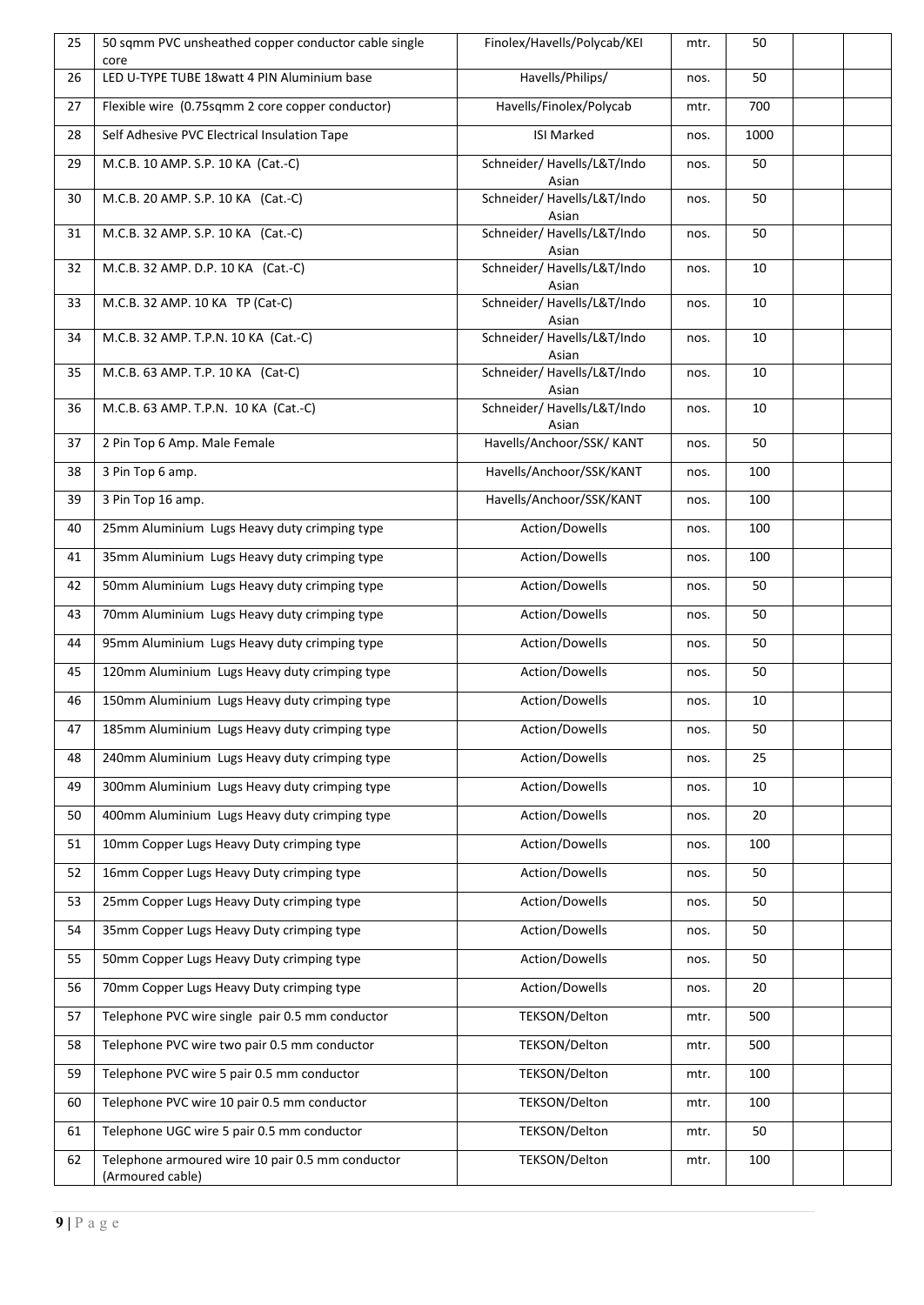| 25 | 50 sqmm PVC unsheathed copper conductor cable single<br>core         | Finolex/Havells/Polycab/KEI          | mtr. | 50   |  |
|----|----------------------------------------------------------------------|--------------------------------------|------|------|--|
| 26 | LED U-TYPE TUBE 18watt 4 PIN Aluminium base                          | Havells/Philips/                     | nos. | 50   |  |
| 27 | Flexible wire (0.75sqmm 2 core copper conductor)                     | Havells/Finolex/Polycab              | mtr. | 700  |  |
| 28 | Self Adhesive PVC Electrical Insulation Tape                         | <b>ISI Marked</b>                    | nos. | 1000 |  |
| 29 | M.C.B. 10 AMP. S.P. 10 KA (Cat.-C)                                   | Schneider/ Havells/L&T/Indo<br>Asian | nos. | 50   |  |
| 30 | M.C.B. 20 AMP. S.P. 10 KA (Cat.-C)                                   | Schneider/ Havells/L&T/Indo<br>Asian | nos. | 50   |  |
| 31 | M.C.B. 32 AMP. S.P. 10 KA (Cat.-C)                                   | Schneider/ Havells/L&T/Indo<br>Asian | nos. | 50   |  |
| 32 | M.C.B. 32 AMP. D.P. 10 KA (Cat.-C)                                   | Schneider/ Havells/L&T/Indo<br>Asian | nos. | 10   |  |
| 33 | M.C.B. 32 AMP. 10 KA TP (Cat-C)                                      | Schneider/ Havells/L&T/Indo<br>Asian | nos. | 10   |  |
| 34 | M.C.B. 32 AMP. T.P.N. 10 KA (Cat.-C)                                 | Schneider/ Havells/L&T/Indo<br>Asian | nos. | 10   |  |
| 35 | M.C.B. 63 AMP. T.P. 10 KA (Cat-C)                                    | Schneider/ Havells/L&T/Indo<br>Asian | nos. | 10   |  |
| 36 | M.C.B. 63 AMP. T.P.N. 10 KA (Cat.-C)                                 | Schneider/ Havells/L&T/Indo<br>Asian | nos. | 10   |  |
| 37 | 2 Pin Top 6 Amp. Male Female                                         | Havells/Anchoor/SSK/ KANT            | nos. | 50   |  |
| 38 | 3 Pin Top 6 amp.                                                     | Havells/Anchoor/SSK/KANT             | nos. | 100  |  |
| 39 | 3 Pin Top 16 amp.                                                    | Havells/Anchoor/SSK/KANT             | nos. | 100  |  |
| 40 | 25mm Aluminium Lugs Heavy duty crimping type                         | Action/Dowells                       | nos. | 100  |  |
| 41 | 35mm Aluminium Lugs Heavy duty crimping type                         | Action/Dowells                       | nos. | 100  |  |
| 42 | 50mm Aluminium Lugs Heavy duty crimping type                         | Action/Dowells                       | nos. | 50   |  |
| 43 | 70mm Aluminium Lugs Heavy duty crimping type                         | Action/Dowells                       | nos. | 50   |  |
| 44 | 95mm Aluminium Lugs Heavy duty crimping type                         | Action/Dowells                       | nos. | 50   |  |
| 45 | 120mm Aluminium Lugs Heavy duty crimping type                        | Action/Dowells                       | nos. | 50   |  |
| 46 | 150mm Aluminium Lugs Heavy duty crimping type                        | Action/Dowells                       | nos. | 10   |  |
| 47 | 185mm Aluminium Lugs Heavy duty crimping type                        | Action/Dowells                       | nos. | 50   |  |
| 48 | 240mm Aluminium Lugs Heavy duty crimping type                        | Action/Dowells                       | nos. | 25   |  |
| 49 | 300mm Aluminium Lugs Heavy duty crimping type                        | Action/Dowells                       | nos. | 10   |  |
| 50 | 400mm Aluminium Lugs Heavy duty crimping type                        | Action/Dowells                       | nos. | 20   |  |
| 51 | 10mm Copper Lugs Heavy Duty crimping type                            | Action/Dowells                       | nos. | 100  |  |
| 52 | 16mm Copper Lugs Heavy Duty crimping type                            | Action/Dowells                       | nos. | 50   |  |
| 53 | 25mm Copper Lugs Heavy Duty crimping type                            | Action/Dowells                       | nos. | 50   |  |
| 54 | 35mm Copper Lugs Heavy Duty crimping type                            | Action/Dowells                       | nos. | 50   |  |
| 55 | 50mm Copper Lugs Heavy Duty crimping type                            | Action/Dowells                       | nos. | 50   |  |
| 56 | 70mm Copper Lugs Heavy Duty crimping type                            | Action/Dowells                       | nos. | 20   |  |
| 57 | Telephone PVC wire single pair 0.5 mm conductor                      | TEKSON/Delton                        | mtr. | 500  |  |
| 58 | Telephone PVC wire two pair 0.5 mm conductor                         | TEKSON/Delton                        | mtr. | 500  |  |
| 59 | Telephone PVC wire 5 pair 0.5 mm conductor                           | TEKSON/Delton                        | mtr. | 100  |  |
| 60 | Telephone PVC wire 10 pair 0.5 mm conductor                          | TEKSON/Delton                        | mtr. | 100  |  |
| 61 | Telephone UGC wire 5 pair 0.5 mm conductor                           | TEKSON/Delton                        | mtr. | 50   |  |
| 62 | Telephone armoured wire 10 pair 0.5 mm conductor<br>(Armoured cable) | TEKSON/Delton                        | mtr. | 100  |  |
|    |                                                                      |                                      |      |      |  |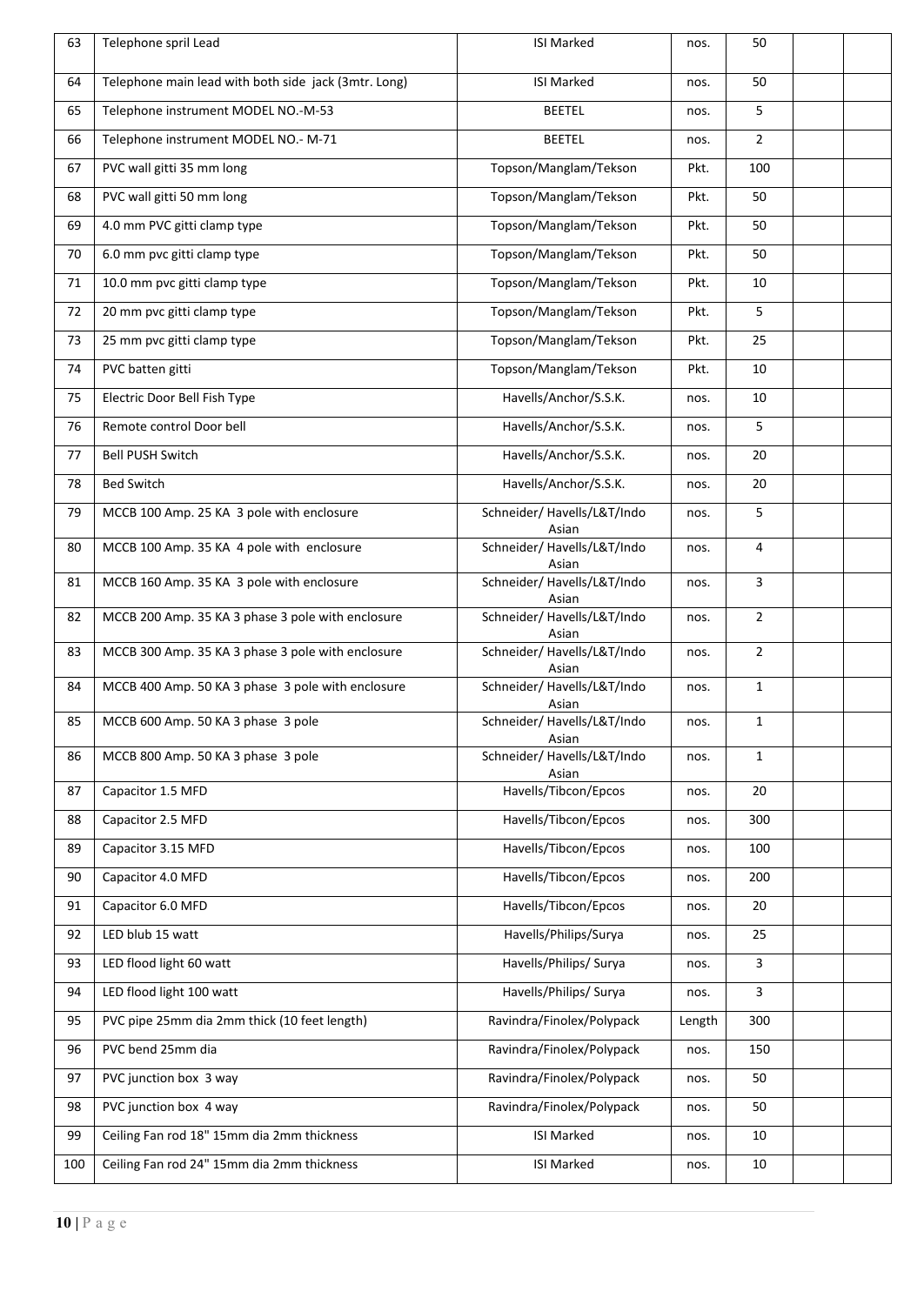| 63  | Telephone spril Lead                                 | <b>ISI Marked</b>                    | nos.   | 50             |  |
|-----|------------------------------------------------------|--------------------------------------|--------|----------------|--|
| 64  | Telephone main lead with both side jack (3mtr. Long) | <b>ISI Marked</b>                    | nos.   | 50             |  |
| 65  | Telephone instrument MODEL NO.-M-53                  | <b>BEETEL</b>                        | nos.   | 5              |  |
| 66  | Telephone instrument MODEL NO.- M-71                 | <b>BEETEL</b>                        | nos.   | $\overline{2}$ |  |
| 67  | PVC wall gitti 35 mm long                            | Topson/Manglam/Tekson                | Pkt.   | 100            |  |
| 68  | PVC wall gitti 50 mm long                            | Topson/Manglam/Tekson                | Pkt.   | 50             |  |
| 69  | 4.0 mm PVC gitti clamp type                          | Topson/Manglam/Tekson                | Pkt.   | 50             |  |
| 70  | 6.0 mm pvc gitti clamp type                          | Topson/Manglam/Tekson                | Pkt.   | 50             |  |
| 71  | 10.0 mm pvc gitti clamp type                         | Topson/Manglam/Tekson                | Pkt.   | 10             |  |
| 72  | 20 mm pvc gitti clamp type                           | Topson/Manglam/Tekson                | Pkt.   | 5              |  |
| 73  | 25 mm pvc gitti clamp type                           | Topson/Manglam/Tekson                | Pkt.   | 25             |  |
| 74  | PVC batten gitti                                     | Topson/Manglam/Tekson                | Pkt.   | 10             |  |
| 75  | Electric Door Bell Fish Type                         | Havells/Anchor/S.S.K.                | nos.   | 10             |  |
| 76  | Remote control Door bell                             | Havells/Anchor/S.S.K.                | nos.   | 5              |  |
| 77  | <b>Bell PUSH Switch</b>                              | Havells/Anchor/S.S.K.                | nos.   | 20             |  |
| 78  | <b>Bed Switch</b>                                    | Havells/Anchor/S.S.K.                | nos.   | 20             |  |
| 79  | MCCB 100 Amp. 25 KA 3 pole with enclosure            | Schneider/ Havells/L&T/Indo          | nos.   | 5              |  |
| 80  | MCCB 100 Amp. 35 KA 4 pole with enclosure            | Asian<br>Schneider/ Havells/L&T/Indo | nos.   | 4              |  |
| 81  | MCCB 160 Amp. 35 KA 3 pole with enclosure            | Asian<br>Schneider/ Havells/L&T/Indo | nos.   | 3              |  |
|     |                                                      | Asian                                |        |                |  |
| 82  | MCCB 200 Amp. 35 KA 3 phase 3 pole with enclosure    | Schneider/ Havells/L&T/Indo<br>Asian | nos.   | $\overline{2}$ |  |
| 83  | MCCB 300 Amp. 35 KA 3 phase 3 pole with enclosure    | Schneider/ Havells/L&T/Indo<br>Asian | nos.   | $\overline{2}$ |  |
| 84  | MCCB 400 Amp. 50 KA 3 phase 3 pole with enclosure    | Schneider/ Havells/L&T/Indo<br>Asian | nos.   | $\mathbf{1}$   |  |
| 85  | MCCB 600 Amp. 50 KA 3 phase 3 pole                   | Schneider/ Havells/L&T/Indo<br>Asian | nos.   | $\mathbf{1}$   |  |
| 86  | MCCB 800 Amp. 50 KA 3 phase 3 pole                   | Schneider/ Havells/L&T/Indo<br>Asian | nos.   | $\mathbf{1}$   |  |
| 87  | Capacitor 1.5 MFD                                    | Havells/Tibcon/Epcos                 | nos.   | 20             |  |
| 88  | Capacitor 2.5 MFD                                    | Havells/Tibcon/Epcos                 | nos.   | 300            |  |
| 89  | Capacitor 3.15 MFD                                   | Havells/Tibcon/Epcos                 | nos.   | 100            |  |
| 90  | Capacitor 4.0 MFD                                    | Havells/Tibcon/Epcos                 | nos.   | 200            |  |
| 91  | Capacitor 6.0 MFD                                    | Havells/Tibcon/Epcos                 | nos.   | 20             |  |
| 92  | LED blub 15 watt                                     | Havells/Philips/Surya                | nos.   | 25             |  |
| 93  | LED flood light 60 watt                              | Havells/Philips/ Surya               | nos.   | 3              |  |
| 94  | LED flood light 100 watt                             | Havells/Philips/ Surya               | nos.   | 3              |  |
| 95  | PVC pipe 25mm dia 2mm thick (10 feet length)         | Ravindra/Finolex/Polypack            | Length | 300            |  |
| 96  | PVC bend 25mm dia                                    | Ravindra/Finolex/Polypack            | nos.   | 150            |  |
| 97  | PVC junction box 3 way                               | Ravindra/Finolex/Polypack            | nos.   | 50             |  |
| 98  | PVC junction box 4 way                               | Ravindra/Finolex/Polypack            | nos.   | 50             |  |
| 99  | Ceiling Fan rod 18" 15mm dia 2mm thickness           | <b>ISI Marked</b>                    | nos.   | 10             |  |
| 100 | Ceiling Fan rod 24" 15mm dia 2mm thickness           | <b>ISI Marked</b>                    | nos.   | 10             |  |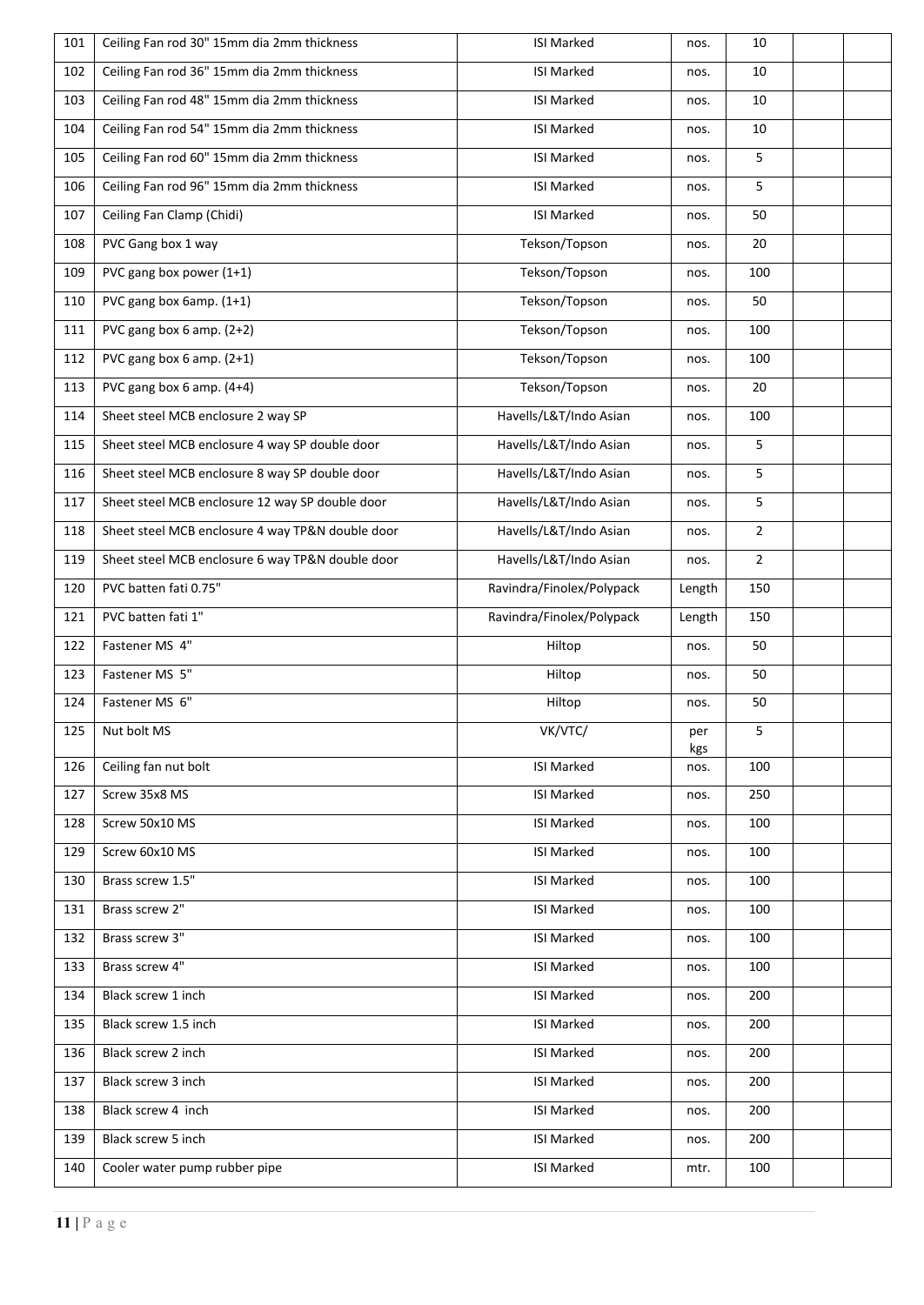| Ceiling Fan rod 36" 15mm dia 2mm thickness<br><b>ISI Marked</b><br>102<br>Ceiling Fan rod 48" 15mm dia 2mm thickness<br><b>ISI Marked</b><br>103<br>Ceiling Fan rod 54" 15mm dia 2mm thickness<br>ISI Marked<br>104<br>Ceiling Fan rod 60" 15mm dia 2mm thickness<br><b>ISI Marked</b><br>105<br>Ceiling Fan rod 96" 15mm dia 2mm thickness<br><b>ISI Marked</b><br>106<br>Ceiling Fan Clamp (Chidi)<br>ISI Marked<br>107<br>PVC Gang box 1 way<br>Tekson/Topson<br>108<br>PVC gang box power (1+1)<br>Tekson/Topson<br>109<br>PVC gang box 6amp. (1+1)<br>Tekson/Topson<br>110<br>PVC gang box 6 amp. (2+2)<br>Tekson/Topson<br>111<br>Tekson/Topson<br>PVC gang box 6 amp. (2+1)<br>112<br>Tekson/Topson<br>PVC gang box 6 amp. (4+4)<br>113<br>Sheet steel MCB enclosure 2 way SP<br>Havells/L&T/Indo Asian<br>114<br>Sheet steel MCB enclosure 4 way SP double door<br>Havells/L&T/Indo Asian<br>115<br>Havells/L&T/Indo Asian<br>Sheet steel MCB enclosure 8 way SP double door<br>116<br>Sheet steel MCB enclosure 12 way SP double door<br>Havells/L&T/Indo Asian<br>117<br>Havells/L&T/Indo Asian<br>Sheet steel MCB enclosure 4 way TP&N double door<br>118<br>Havells/L&T/Indo Asian<br>Sheet steel MCB enclosure 6 way TP&N double door<br>119<br>PVC batten fati 0.75"<br>120<br>Ravindra/Finolex/Polypack<br>PVC batten fati 1"<br>Ravindra/Finolex/Polypack<br>121<br>Fastener MS 4"<br>Hiltop<br>122<br>Fastener MS 5"<br>123<br>Hiltop<br>Fastener MS 6"<br>124<br>Hiltop<br>125<br>Nut bolt MS<br>VK/VTC/<br>Ceiling fan nut bolt<br>ISI Marked<br>126<br>Screw 35x8 MS<br>ISI Marked<br>127<br>Screw 50x10 MS<br><b>ISI Marked</b><br>128<br>Screw 60x10 MS<br><b>ISI Marked</b><br>129 |
|-----------------------------------------------------------------------------------------------------------------------------------------------------------------------------------------------------------------------------------------------------------------------------------------------------------------------------------------------------------------------------------------------------------------------------------------------------------------------------------------------------------------------------------------------------------------------------------------------------------------------------------------------------------------------------------------------------------------------------------------------------------------------------------------------------------------------------------------------------------------------------------------------------------------------------------------------------------------------------------------------------------------------------------------------------------------------------------------------------------------------------------------------------------------------------------------------------------------------------------------------------------------------------------------------------------------------------------------------------------------------------------------------------------------------------------------------------------------------------------------------------------------------------------------------------------------------------------------------------------------------------------------------------------------------------------------------------------|
|                                                                                                                                                                                                                                                                                                                                                                                                                                                                                                                                                                                                                                                                                                                                                                                                                                                                                                                                                                                                                                                                                                                                                                                                                                                                                                                                                                                                                                                                                                                                                                                                                                                                                                           |
|                                                                                                                                                                                                                                                                                                                                                                                                                                                                                                                                                                                                                                                                                                                                                                                                                                                                                                                                                                                                                                                                                                                                                                                                                                                                                                                                                                                                                                                                                                                                                                                                                                                                                                           |
|                                                                                                                                                                                                                                                                                                                                                                                                                                                                                                                                                                                                                                                                                                                                                                                                                                                                                                                                                                                                                                                                                                                                                                                                                                                                                                                                                                                                                                                                                                                                                                                                                                                                                                           |
|                                                                                                                                                                                                                                                                                                                                                                                                                                                                                                                                                                                                                                                                                                                                                                                                                                                                                                                                                                                                                                                                                                                                                                                                                                                                                                                                                                                                                                                                                                                                                                                                                                                                                                           |
|                                                                                                                                                                                                                                                                                                                                                                                                                                                                                                                                                                                                                                                                                                                                                                                                                                                                                                                                                                                                                                                                                                                                                                                                                                                                                                                                                                                                                                                                                                                                                                                                                                                                                                           |
|                                                                                                                                                                                                                                                                                                                                                                                                                                                                                                                                                                                                                                                                                                                                                                                                                                                                                                                                                                                                                                                                                                                                                                                                                                                                                                                                                                                                                                                                                                                                                                                                                                                                                                           |
|                                                                                                                                                                                                                                                                                                                                                                                                                                                                                                                                                                                                                                                                                                                                                                                                                                                                                                                                                                                                                                                                                                                                                                                                                                                                                                                                                                                                                                                                                                                                                                                                                                                                                                           |
|                                                                                                                                                                                                                                                                                                                                                                                                                                                                                                                                                                                                                                                                                                                                                                                                                                                                                                                                                                                                                                                                                                                                                                                                                                                                                                                                                                                                                                                                                                                                                                                                                                                                                                           |
|                                                                                                                                                                                                                                                                                                                                                                                                                                                                                                                                                                                                                                                                                                                                                                                                                                                                                                                                                                                                                                                                                                                                                                                                                                                                                                                                                                                                                                                                                                                                                                                                                                                                                                           |
|                                                                                                                                                                                                                                                                                                                                                                                                                                                                                                                                                                                                                                                                                                                                                                                                                                                                                                                                                                                                                                                                                                                                                                                                                                                                                                                                                                                                                                                                                                                                                                                                                                                                                                           |
|                                                                                                                                                                                                                                                                                                                                                                                                                                                                                                                                                                                                                                                                                                                                                                                                                                                                                                                                                                                                                                                                                                                                                                                                                                                                                                                                                                                                                                                                                                                                                                                                                                                                                                           |
|                                                                                                                                                                                                                                                                                                                                                                                                                                                                                                                                                                                                                                                                                                                                                                                                                                                                                                                                                                                                                                                                                                                                                                                                                                                                                                                                                                                                                                                                                                                                                                                                                                                                                                           |
|                                                                                                                                                                                                                                                                                                                                                                                                                                                                                                                                                                                                                                                                                                                                                                                                                                                                                                                                                                                                                                                                                                                                                                                                                                                                                                                                                                                                                                                                                                                                                                                                                                                                                                           |
|                                                                                                                                                                                                                                                                                                                                                                                                                                                                                                                                                                                                                                                                                                                                                                                                                                                                                                                                                                                                                                                                                                                                                                                                                                                                                                                                                                                                                                                                                                                                                                                                                                                                                                           |
|                                                                                                                                                                                                                                                                                                                                                                                                                                                                                                                                                                                                                                                                                                                                                                                                                                                                                                                                                                                                                                                                                                                                                                                                                                                                                                                                                                                                                                                                                                                                                                                                                                                                                                           |
|                                                                                                                                                                                                                                                                                                                                                                                                                                                                                                                                                                                                                                                                                                                                                                                                                                                                                                                                                                                                                                                                                                                                                                                                                                                                                                                                                                                                                                                                                                                                                                                                                                                                                                           |
|                                                                                                                                                                                                                                                                                                                                                                                                                                                                                                                                                                                                                                                                                                                                                                                                                                                                                                                                                                                                                                                                                                                                                                                                                                                                                                                                                                                                                                                                                                                                                                                                                                                                                                           |
|                                                                                                                                                                                                                                                                                                                                                                                                                                                                                                                                                                                                                                                                                                                                                                                                                                                                                                                                                                                                                                                                                                                                                                                                                                                                                                                                                                                                                                                                                                                                                                                                                                                                                                           |
|                                                                                                                                                                                                                                                                                                                                                                                                                                                                                                                                                                                                                                                                                                                                                                                                                                                                                                                                                                                                                                                                                                                                                                                                                                                                                                                                                                                                                                                                                                                                                                                                                                                                                                           |
|                                                                                                                                                                                                                                                                                                                                                                                                                                                                                                                                                                                                                                                                                                                                                                                                                                                                                                                                                                                                                                                                                                                                                                                                                                                                                                                                                                                                                                                                                                                                                                                                                                                                                                           |
|                                                                                                                                                                                                                                                                                                                                                                                                                                                                                                                                                                                                                                                                                                                                                                                                                                                                                                                                                                                                                                                                                                                                                                                                                                                                                                                                                                                                                                                                                                                                                                                                                                                                                                           |
|                                                                                                                                                                                                                                                                                                                                                                                                                                                                                                                                                                                                                                                                                                                                                                                                                                                                                                                                                                                                                                                                                                                                                                                                                                                                                                                                                                                                                                                                                                                                                                                                                                                                                                           |
|                                                                                                                                                                                                                                                                                                                                                                                                                                                                                                                                                                                                                                                                                                                                                                                                                                                                                                                                                                                                                                                                                                                                                                                                                                                                                                                                                                                                                                                                                                                                                                                                                                                                                                           |
|                                                                                                                                                                                                                                                                                                                                                                                                                                                                                                                                                                                                                                                                                                                                                                                                                                                                                                                                                                                                                                                                                                                                                                                                                                                                                                                                                                                                                                                                                                                                                                                                                                                                                                           |
|                                                                                                                                                                                                                                                                                                                                                                                                                                                                                                                                                                                                                                                                                                                                                                                                                                                                                                                                                                                                                                                                                                                                                                                                                                                                                                                                                                                                                                                                                                                                                                                                                                                                                                           |
|                                                                                                                                                                                                                                                                                                                                                                                                                                                                                                                                                                                                                                                                                                                                                                                                                                                                                                                                                                                                                                                                                                                                                                                                                                                                                                                                                                                                                                                                                                                                                                                                                                                                                                           |
|                                                                                                                                                                                                                                                                                                                                                                                                                                                                                                                                                                                                                                                                                                                                                                                                                                                                                                                                                                                                                                                                                                                                                                                                                                                                                                                                                                                                                                                                                                                                                                                                                                                                                                           |
|                                                                                                                                                                                                                                                                                                                                                                                                                                                                                                                                                                                                                                                                                                                                                                                                                                                                                                                                                                                                                                                                                                                                                                                                                                                                                                                                                                                                                                                                                                                                                                                                                                                                                                           |
| Brass screw 1.5"<br><b>ISI Marked</b><br>130                                                                                                                                                                                                                                                                                                                                                                                                                                                                                                                                                                                                                                                                                                                                                                                                                                                                                                                                                                                                                                                                                                                                                                                                                                                                                                                                                                                                                                                                                                                                                                                                                                                              |
| Brass screw 2"<br>ISI Marked<br>131                                                                                                                                                                                                                                                                                                                                                                                                                                                                                                                                                                                                                                                                                                                                                                                                                                                                                                                                                                                                                                                                                                                                                                                                                                                                                                                                                                                                                                                                                                                                                                                                                                                                       |
| Brass screw 3"<br><b>ISI Marked</b><br>132                                                                                                                                                                                                                                                                                                                                                                                                                                                                                                                                                                                                                                                                                                                                                                                                                                                                                                                                                                                                                                                                                                                                                                                                                                                                                                                                                                                                                                                                                                                                                                                                                                                                |
| Brass screw 4"<br>ISI Marked<br>133                                                                                                                                                                                                                                                                                                                                                                                                                                                                                                                                                                                                                                                                                                                                                                                                                                                                                                                                                                                                                                                                                                                                                                                                                                                                                                                                                                                                                                                                                                                                                                                                                                                                       |
| Black screw 1 inch<br><b>ISI Marked</b><br>134                                                                                                                                                                                                                                                                                                                                                                                                                                                                                                                                                                                                                                                                                                                                                                                                                                                                                                                                                                                                                                                                                                                                                                                                                                                                                                                                                                                                                                                                                                                                                                                                                                                            |
|                                                                                                                                                                                                                                                                                                                                                                                                                                                                                                                                                                                                                                                                                                                                                                                                                                                                                                                                                                                                                                                                                                                                                                                                                                                                                                                                                                                                                                                                                                                                                                                                                                                                                                           |
| Black screw 1.5 inch<br>ISI Marked<br>135                                                                                                                                                                                                                                                                                                                                                                                                                                                                                                                                                                                                                                                                                                                                                                                                                                                                                                                                                                                                                                                                                                                                                                                                                                                                                                                                                                                                                                                                                                                                                                                                                                                                 |
| Black screw 2 inch<br><b>ISI Marked</b><br>136                                                                                                                                                                                                                                                                                                                                                                                                                                                                                                                                                                                                                                                                                                                                                                                                                                                                                                                                                                                                                                                                                                                                                                                                                                                                                                                                                                                                                                                                                                                                                                                                                                                            |
| Black screw 3 inch<br>ISI Marked<br>137                                                                                                                                                                                                                                                                                                                                                                                                                                                                                                                                                                                                                                                                                                                                                                                                                                                                                                                                                                                                                                                                                                                                                                                                                                                                                                                                                                                                                                                                                                                                                                                                                                                                   |
| Black screw 4 inch<br><b>ISI Marked</b><br>138                                                                                                                                                                                                                                                                                                                                                                                                                                                                                                                                                                                                                                                                                                                                                                                                                                                                                                                                                                                                                                                                                                                                                                                                                                                                                                                                                                                                                                                                                                                                                                                                                                                            |
| Black screw 5 inch<br><b>ISI Marked</b><br>139                                                                                                                                                                                                                                                                                                                                                                                                                                                                                                                                                                                                                                                                                                                                                                                                                                                                                                                                                                                                                                                                                                                                                                                                                                                                                                                                                                                                                                                                                                                                                                                                                                                            |